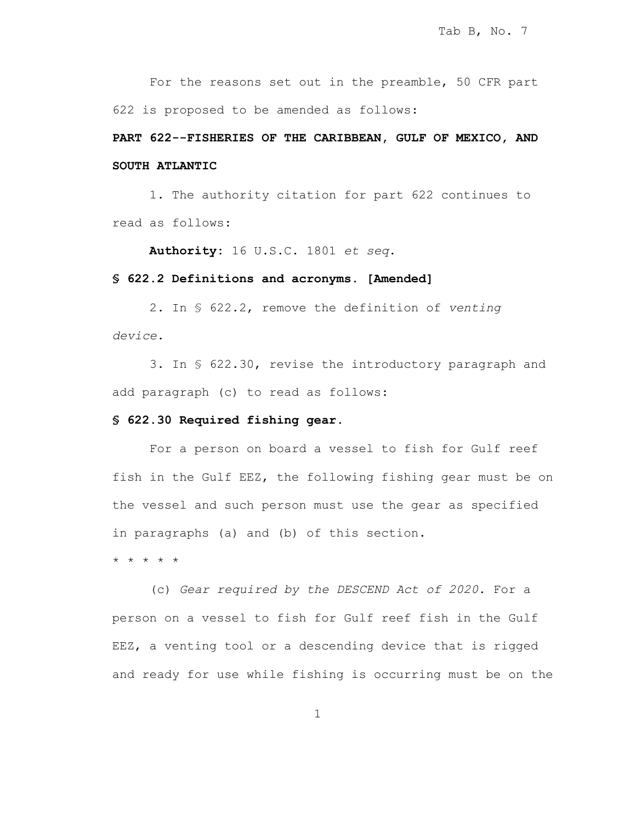For the reasons set out in the preamble, 50 CFR part 622 is proposed to be amended as follows:

## **PART 622--FISHERIES OF THE CARIBBEAN, GULF OF MEXICO, AND SOUTH ATLANTIC**

1. The authority citation for part 622 continues to read as follows:

**Authority:** 16 U.S.C. 1801 *et seq*.

## **§ 622.2 Definitions and acronyms. [Amended]**

2. In § 622.2, remove the definition of *venting device*.

3. In § 622.30, revise the introductory paragraph and add paragraph (c) to read as follows:

## **§ 622.30 Required fishing gear.**

For a person on board a vessel to fish for Gulf reef fish in the Gulf EEZ, the following fishing gear must be on the vessel and such person must use the gear as specified in paragraphs (a) and (b) of this section.

\* \* \* \* \*

(c) *Gear required by the DESCEND Act of 2020*. For a person on a vessel to fish for Gulf reef fish in the Gulf EEZ, a venting tool or a descending device that is rigged and ready for use while fishing is occurring must be on the

1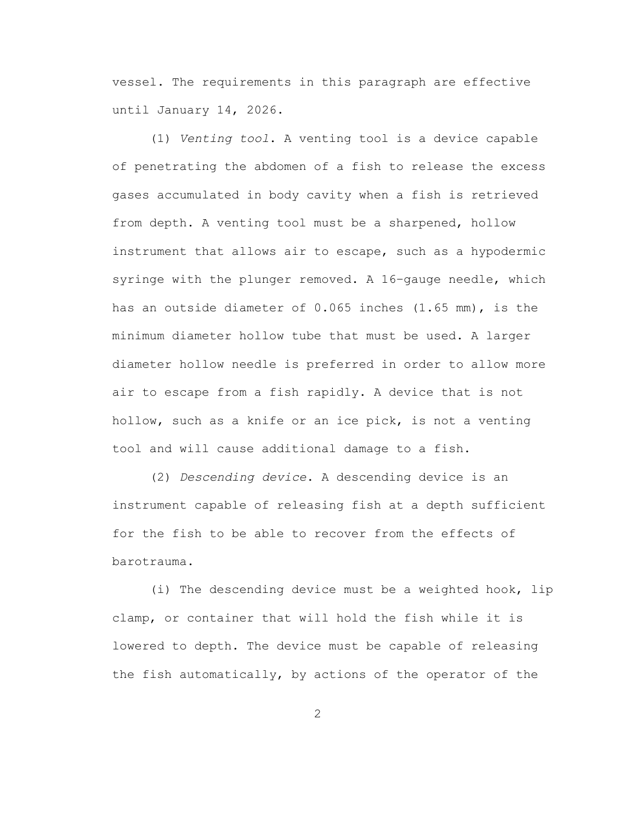vessel. The requirements in this paragraph are effective until January 14, 2026.

(1) *Venting tool*. A venting tool is a device capable of penetrating the abdomen of a fish to release the excess gases accumulated in body cavity when a fish is retrieved from depth. A venting tool must be a sharpened, hollow instrument that allows air to escape, such as a hypodermic syringe with the plunger removed. A 16–gauge needle, which has an outside diameter of 0.065 inches (1.65 mm), is the minimum diameter hollow tube that must be used. A larger diameter hollow needle is preferred in order to allow more air to escape from a fish rapidly. A device that is not hollow, such as a knife or an ice pick, is not a venting tool and will cause additional damage to a fish.

(2) *Descending device*. A descending device is an instrument capable of releasing fish at a depth sufficient for the fish to be able to recover from the effects of barotrauma.

(i) The descending device must be a weighted hook, lip clamp, or container that will hold the fish while it is lowered to depth. The device must be capable of releasing the fish automatically, by actions of the operator of the

2